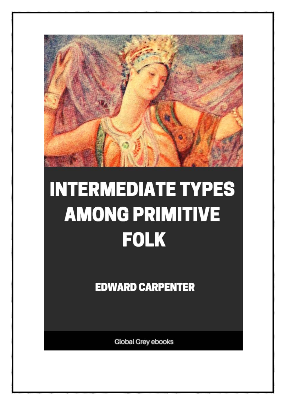

## **INTERMEDIATE TYPES AMONG PRIMITIVE FOLK**

**EDWARD CARPENTER** 

**Global Grey ebooks**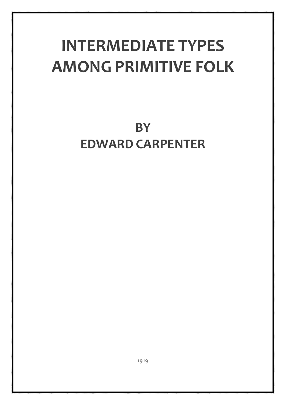## **INTERMEDIATE TYPES AMONG PRIMITIVE FOLK**

**BY EDWARD CARPENTER**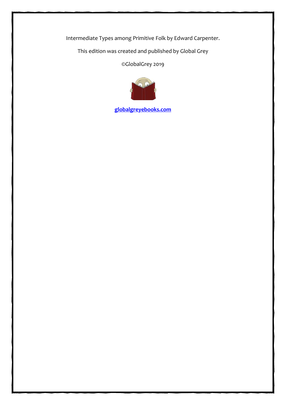Intermediate Types among Primitive Folk by Edward Carpenter.

This edition was created and published by Global Grey

©GlobalGrey 2019



**[globalgreyebooks.com](https://www.globalgreyebooks.com/index.html)**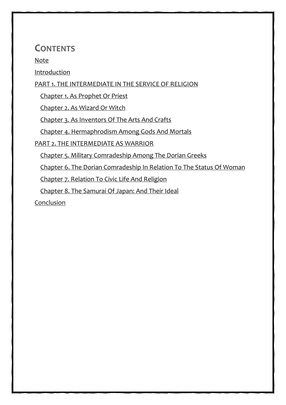## **CONTENTS**

[Note](#page-4-0)

[Introduction](#page-5-0)

## [PART 1. THE INTERMEDIATE IN THE SERVICE OF RELIGION](#page-8-0)

[Chapter 1. As Prophet Or Priest](#page-9-0)

[Chapter 2. As Wizard Or Witch](#page-21-0)

[Chapter 3. As Inventors Of The Arts And Crafts](#page-32-0)

[Chapter 4. Hermaphrodism Among Gods And Mortals](#page-38-0)

[PART 2. THE INTERMEDIATE AS WARRIOR](#page-48-0)

[Chapter 5. Military Comradeship Among The Dorian Greeks](#page-49-0)

[Chapter 6. The Dorian Comradeship In Relation To The Status Of Woman](#page-57-0)

[Chapter 7. Relation To Civic Life And Religion](#page-65-0)

[Chapter 8. The Samurai Of Japan: And Their Ideal](#page-76-0)

[Conclusion](#page-90-0)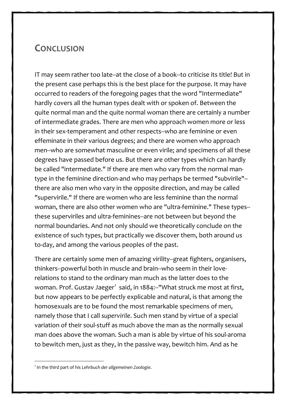## **CONCLUSION**

IT may seem rather too late--at the close of a book--to criticise its title! But in the present case perhaps this is the best place for the purpose. It may have occurred to readers of the foregoing pages that the word "Intermediate" hardly covers all the human types dealt with or spoken of. Between the quite normal man and the quite normal woman there are certainly a number of intermediate grades. There are men who approach women more or less in their sex-temperament and other respects--who are feminine or even effeminate in their various degrees; and there are women who approach men--who are somewhat masculine or even virile; and specimens of all these degrees have passed before us. But there are other types which can hardly be called "intermediate." If there are men who vary from the normal mantype in the feminine direction-and who may perhaps be termed "subvirile"- there are also men who vary in the opposite direction, and may be called "supervirile." If there are women who are less feminine than the normal woman, there are also other women who are "ultra-feminine." These types- these superviriles and ultra-feminines--are not between but beyond the normal boundaries. And not only should we theoretically conclude on the existence of such types, but practically we discover them, both around us to-day, and among the various peoples of the past.

There are certainly some men of amazing virility--great fighters, organisers, thinkers--powerful both in muscle and brain--who seem in their loverelations to stand to the ordinary man much as the latter does to the woman. Prof. Gustav Jaeger<sup>[1](#page-90-0)</sup> said, in 1884:--"What struck me most at first, but now appears to be perfectly explicable and natural, is that among the homosexuals are to be found the most remarkable specimens of men, namely those that I call *supervirile*. Such men stand by virtue of a special variation of their soul-stuff as much above the man as the normally sexual man does above the woman. Such a man is able by virtue of his soul-aroma to bewitch men, just as they, in the passive way, bewitch him. And as he

<span id="page-90-0"></span><sup>1</sup> In the third part of his Lehrbuch der allgemeinen Zoologie.